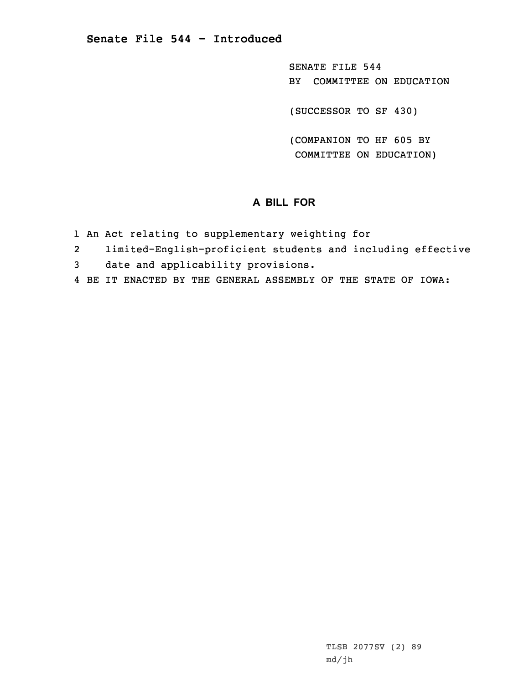SENATE FILE 544 BY COMMITTEE ON EDUCATION

(SUCCESSOR TO SF 430)

(COMPANION TO HF 605 BY COMMITTEE ON EDUCATION)

## **A BILL FOR**

- 1 An Act relating to supplementary weighting for
- 2limited-English-proficient students and including effective
- 3 date and applicability provisions.
- 4 BE IT ENACTED BY THE GENERAL ASSEMBLY OF THE STATE OF IOWA: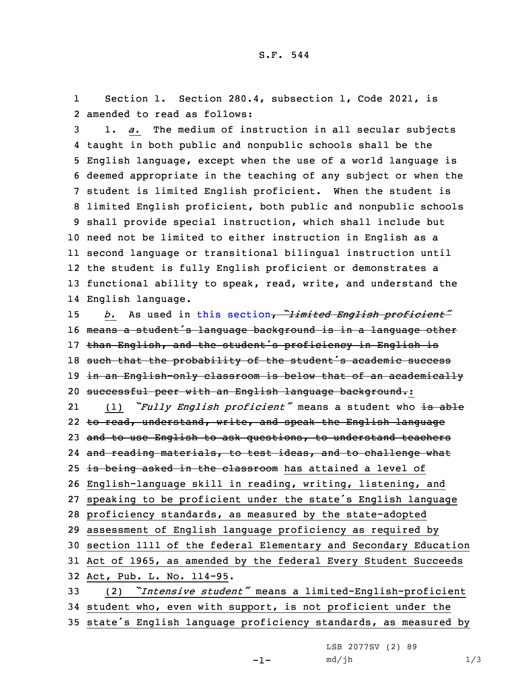1 Section 1. Section 280.4, subsection 1, Code 2021, is 2 amended to read as follows:

 1. *a.* The medium of instruction in all secular subjects taught in both public and nonpublic schools shall be the English language, except when the use of <sup>a</sup> world language is deemed appropriate in the teaching of any subject or when the student is limited English proficient. When the student is limited English proficient, both public and nonpublic schools shall provide special instruction, which shall include but need not be limited to either instruction in English as <sup>a</sup> second language or transitional bilingual instruction until the student is fully English proficient or demonstrates <sup>a</sup> functional ability to speak, read, write, and understand the English language.

 *b.* As used in this [section](https://www.legis.iowa.gov/docs/code/2021/280.4.pdf), *"limited English proficient"* means <sup>a</sup> student's language background is in <sup>a</sup> language other than English, and the student's proficiency in English is 18 such that the probability of the student's academic success in an English-only classroom is below that of an academically 20 successful peer with an English language background.:

21 (1) *"Fully English proficient"* means <sup>a</sup> student who is able to read, understand, write, and speak the English language 23 and to use English to ask questions, to understand teachers and reading materials, to test ideas, and to challenge what 25 is being asked in the classroom has attained a level of English-language skill in reading, writing, listening, and speaking to be proficient under the state's English language proficiency standards, as measured by the state-adopted assessment of English language proficiency as required by section 1111 of the federal Elementary and Secondary Education Act of 1965, as amended by the federal Every Student Succeeds Act, Pub. L. No. 114-95. (2) *"Intensive student"* means <sup>a</sup> limited-English-proficient student who, even with support, is not proficient under the

<sup>35</sup> state's English language proficiency standards, as measured by

LSB 2077SV (2) 89  $md/jh$   $1/3$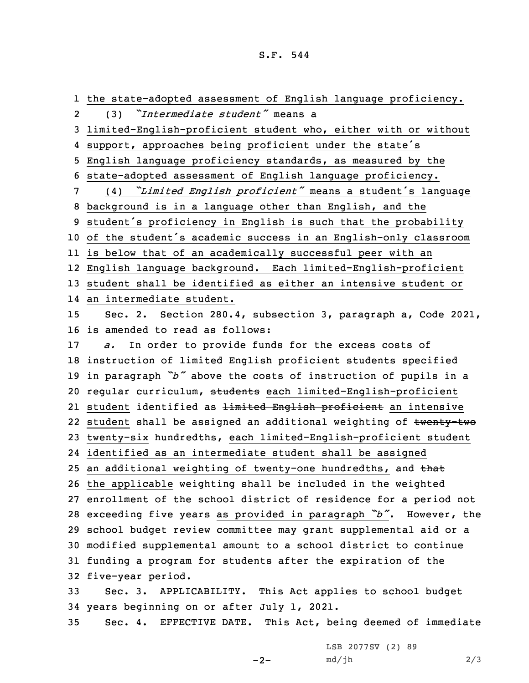## S.F. 544

 the state-adopted assessment of English language proficiency. 2 (3) *"Intermediate student"* means <sup>a</sup> limited-English-proficient student who, either with or without support, approaches being proficient under the state's English language proficiency standards, as measured by the state-adopted assessment of English language proficiency. (4) *"Limited English proficient"* means <sup>a</sup> student's language background is in <sup>a</sup> language other than English, and the student's proficiency in English is such that the probability of the student's academic success in an English-only classroom is below that of an academically successful peer with an English language background. Each limited-English-proficient student shall be identified as either an intensive student or an intermediate student. Sec. 2. Section 280.4, subsection 3, paragraph a, Code 2021, is amended to read as follows: *a.* In order to provide funds for the excess costs of instruction of limited English proficient students specified in paragraph *"b"* above the costs of instruction of pupils in <sup>a</sup> 20 regular curriculum, students each limited-English-proficient 21 student identified as <del>limited English proficient</del> an intensive 22 student shall be assigned an additional weighting of <del>twenty-two</del> twenty-six hundredths, each limited-English-proficient student identified as an intermediate student shall be assigned 25 an additional weighting of twenty-one hundredths, and that the applicable weighting shall be included in the weighted enrollment of the school district of residence for <sup>a</sup> period not exceeding five years as provided in paragraph *"b"*. However, the school budget review committee may grant supplemental aid or <sup>a</sup> modified supplemental amount to <sup>a</sup> school district to continue funding <sup>a</sup> program for students after the expiration of the five-year period. Sec. 3. APPLICABILITY. This Act applies to school budget years beginning on or after July 1, 2021. Sec. 4. EFFECTIVE DATE. This Act, being deemed of immediate

 $-2-$ 

LSB 2077SV (2) 89  $md/jh$  2/3